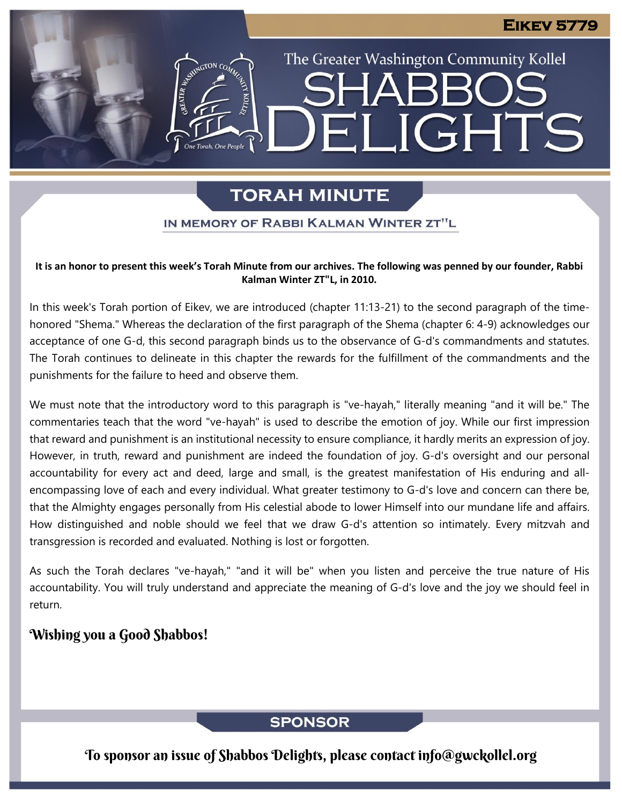The Greater Washington Community Kollel

ELIGHTS

# **TORAH MINUTE**

### IN MEMORY OF RABBI KALMAN WINTER ZT"L

#### **It is an honor to present this week's Torah Minute from our archives. The following was penned by our founder, Rabbi Kalman Winter ZT"L, in 2010.**

In this week's Torah portion of Eikev, we are introduced (chapter 11:13-21) to the second paragraph of the timehonored "Shema." Whereas the declaration of the first paragraph of the Shema (chapter 6: 4-9) acknowledges our acceptance of one G-d, this second paragraph binds us to the observance of G-d's commandments and statutes. The Torah continues to delineate in this chapter the rewards for the fulfillment of the commandments and the punishments for the failure to heed and observe them. **Presented by Rabbi Moshe Sadwin, Kollel Scholar** Froduceu (Chapter T

We must note that the introductory word to this paragraph is "ve-hayah," literally meaning "and it will be." The commentaries teach that the word "ve-hayah" is used to describe the emotion of joy. While our first impression that reward and punishment is an institutional necessity to ensure compliance, it hardly merits an expression of joy. However, in truth, reward and punishment are indeed the foundation of joy. G-d's oversight and our personal accountability for every act and deed, large and small, is the greatest manifestation of His enduring and allencompassing love of each and every individual. What greater testimony to G-d's love and concern can there be, that the Almighty engages personally from His celestial abode to lower Himself into our mundane life and affairs. How distinguished and noble should we feel that we draw G-d's attention so intimately. Every mitzvah and transgression is recorded and evaluated. Nothing is lost or forgotten.

As such the Torah declares "ve-hayah," "and it will be" when you listen and perceive the true nature of His accountability. You will truly understand and appreciate the meaning of G-d's love and the joy we should feel in return.

# Wishing you a Good Shabbos!

# **SPONSOR**

To sponsor an issue of Shabbos Delights, please contact info@gwckollel.org